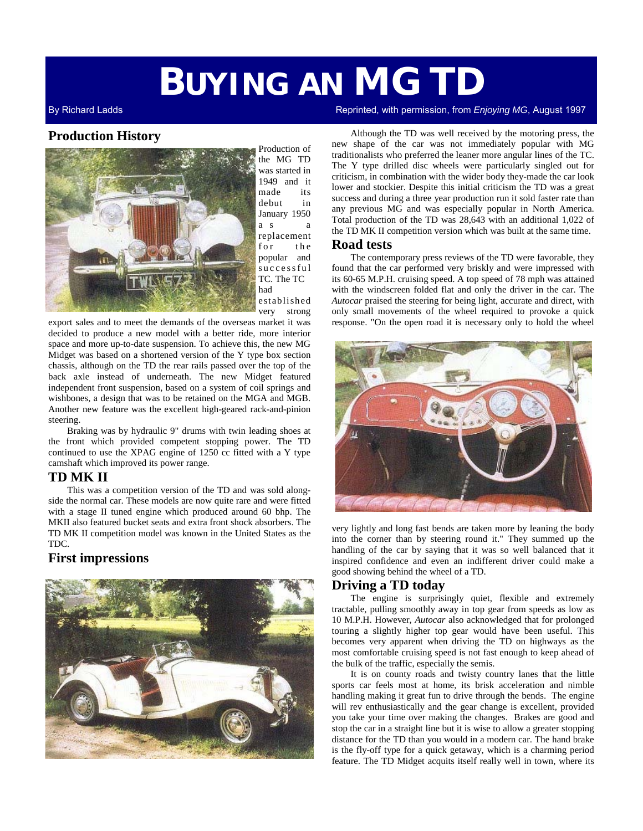# **BUYING AN MG TD**

# **Production History**



Production of the MG TD was started in 1949 and it made its debut in January 1950 a s a replacement for the popular and s u c c e s s f u l TC. The TC had established very strong

export sales and to meet the demands of the overseas market it was decided to produce a new model with a better ride, more interior space and more up-to-date suspension. To achieve this, the new MG Midget was based on a shortened version of the Y type box section chassis, although on the TD the rear rails passed over the top of the back axle instead of underneath. The new Midget featured independent front suspension, based on a system of coil springs and wishbones, a design that was to be retained on the MGA and MGB. Another new feature was the excellent high-geared rack-and-pinion steering.

Braking was by hydraulic 9" drums with twin leading shoes at the front which provided competent stopping power. The TD continued to use the XPAG engine of 1250 cc fitted with a Y type camshaft which improved its power range.

# **TD MK II**

This was a competition version of the TD and was sold alongside the normal car. These models are now quite rare and were fitted with a stage II tuned engine which produced around 60 bhp. The MKII also featured bucket seats and extra front shock absorbers. The TD MK II competition model was known in the United States as the TDC.

# **First impressions**



By Richard Ladds Reprinted, with permission, from *Enjoying MG*, August 1997

Although the TD was well received by the motoring press, the new shape of the car was not immediately popular with MG traditionalists who preferred the leaner more angular lines of the TC. The Y type drilled disc wheels were particularly singled out for criticism, in combination with the wider body they-made the car look lower and stockier. Despite this initial criticism the TD was a great success and during a three year production run it sold faster rate than any previous MG and was especially popular in North America. Total production of the TD was 28,643 with an additional 1,022 of the TD MK II competition version which was built at the same time.

### **Road tests**

The contemporary press reviews of the TD were favorable, they found that the car performed very briskly and were impressed with its 60-65 M.P.H. cruising speed. A top speed of 78 mph was attained with the windscreen folded flat and only the driver in the car. The *Autocar* praised the steering for being light, accurate and direct, with only small movements of the wheel required to provoke a quick response. "On the open road it is necessary only to hold the wheel



very lightly and long fast bends are taken more by leaning the body into the corner than by steering round it." They summed up the handling of the car by saying that it was so well balanced that it inspired confidence and even an indifferent driver could make a good showing behind the wheel of a TD.

# **Driving a TD today**

The engine is surprisingly quiet, flexible and extremely tractable, pulling smoothly away in top gear from speeds as low as 10 M.P.H. However, *Autocar* also acknowledged that for prolonged touring a slightly higher top gear would have been useful. This becomes very apparent when driving the TD on highways as the most comfortable cruising speed is not fast enough to keep ahead of the bulk of the traffic, especially the semis.

It is on county roads and twisty country lanes that the little sports car feels most at home, its brisk acceleration and nimble handling making it great fun to drive through the bends. The engine will rev enthusiastically and the gear change is excellent, provided you take your time over making the changes. Brakes are good and stop the car in a straight line but it is wise to allow a greater stopping distance for the TD than you would in a modern car. The hand brake is the fly-off type for a quick getaway, which is a charming period feature. The TD Midget acquits itself really well in town, where its